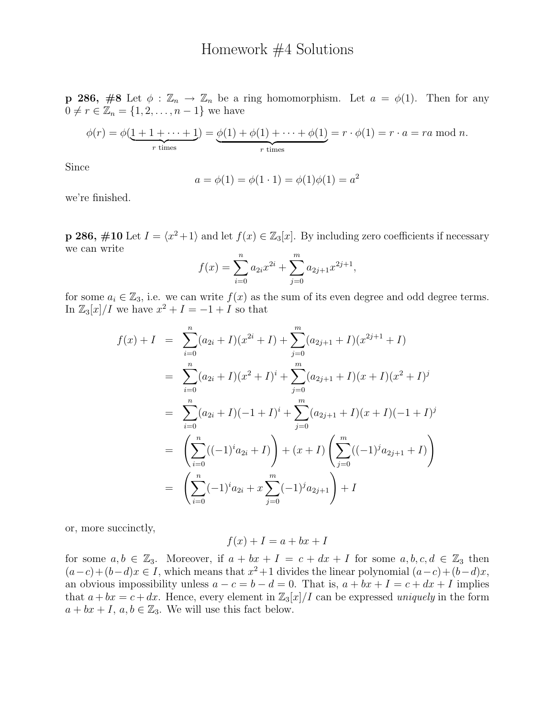## Homework #4 Solutions

**p 286, #8** Let  $\phi : \mathbb{Z}_n \to \mathbb{Z}_n$  be a ring homomorphism. Let  $a = \phi(1)$ . Then for any  $0 \neq r \in \mathbb{Z}_n = \{1, 2, \dots, n-1\}$  we have

$$
\phi(r) = \phi(\underbrace{1+1+\cdots+1}_{r \text{ times}}) = \underbrace{\phi(1)+\phi(1)+\cdots+\phi(1)}_{r \text{ times}} = r \cdot \phi(1) = r \cdot a = ra \mod n.
$$

Since

$$
a = \phi(1) = \phi(1 \cdot 1) = \phi(1)\phi(1) = a^2
$$

we're finished.

**p** 286,  $\#10$  Let  $I = \langle x^2 + 1 \rangle$  and let  $f(x) \in \mathbb{Z}_3[x]$ . By including zero coefficients if necessary we can write

$$
f(x) = \sum_{i=0}^{n} a_{2i} x^{2i} + \sum_{j=0}^{m} a_{2j+1} x^{2j+1},
$$

for some  $a_i \in \mathbb{Z}_3$ , i.e. we can write  $f(x)$  as the sum of its even degree and odd degree terms. In  $\mathbb{Z}_3[x]/I$  we have  $x^2 + I = -1 + I$  so that

$$
f(x) + I = \sum_{i=0}^{n} (a_{2i} + I)(x^{2i} + I) + \sum_{j=0}^{m} (a_{2j+1} + I)(x^{2j+1} + I)
$$
  
\n
$$
= \sum_{i=0}^{n} (a_{2i} + I)(x^{2} + I)^{i} + \sum_{j=0}^{m} (a_{2j+1} + I)(x + I)(x^{2} + I)^{j}
$$
  
\n
$$
= \sum_{i=0}^{n} (a_{2i} + I)(-1 + I)^{i} + \sum_{j=0}^{m} (a_{2j+1} + I)(x + I)(-1 + I)^{j}
$$
  
\n
$$
= \left(\sum_{i=0}^{n} ((-1)^{i}a_{2i} + I)\right) + (x + I)\left(\sum_{j=0}^{m} ((-1)^{j}a_{2j+1} + I)\right)
$$
  
\n
$$
= \left(\sum_{i=0}^{n} (-1)^{i}a_{2i} + x\sum_{j=0}^{m} (-1)^{j}a_{2j+1}\right) + I
$$

or, more succinctly,

$$
f(x) + I = a + bx + I
$$

for some  $a, b \in \mathbb{Z}_3$ . Moreover, if  $a + bx + I = c + dx + I$  for some  $a, b, c, d \in \mathbb{Z}_3$  then  $(a-c)+(b-d)x \in I$ , which means that  $x^2+1$  divides the linear polynomial  $(a-c)+(b-d)x$ , an obvious impossibility unless  $a - c = b - d = 0$ . That is,  $a + bx + I = c + dx + I$  implies that  $a + bx = c + dx$ . Hence, every element in  $\mathbb{Z}_3[x]/I$  can be expressed uniquely in the form  $a + bx + I$ ,  $a, b \in \mathbb{Z}_3$ . We will use this fact below.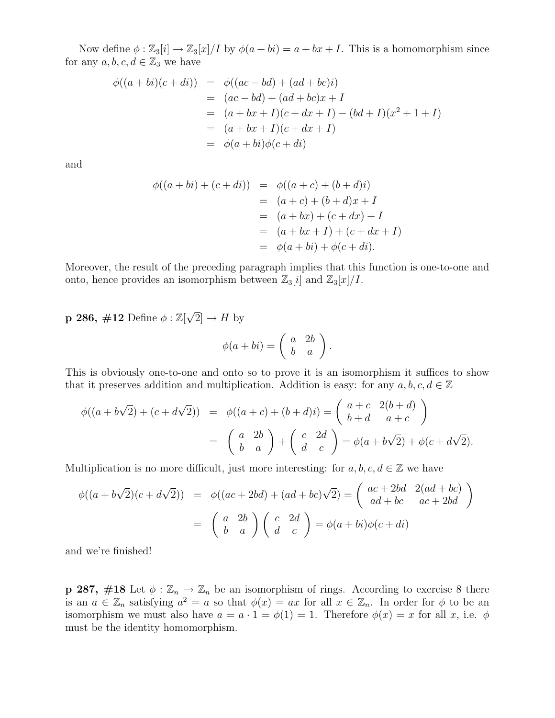Now define  $\phi : \mathbb{Z}_3[i] \to \mathbb{Z}_3[x]/I$  by  $\phi(a + bi) = a + bx + I$ . This is a homomorphism since for any  $a, b, c, d \in \mathbb{Z}_3$  we have

$$
\begin{aligned}\n\phi((a+bi)(c+di)) &= \phi((ac-bd) + (ad+bc)i) \\
&= (ac-bd) + (ad+bc)x + I \\
&= (a+bx+I)(c+dx+I) - (bd+I)(x^2+1+I) \\
&= (a+bx+I)(c+dx+I) \\
&= \phi(a+bi)\phi(c+di)\n\end{aligned}
$$

and

$$
\begin{aligned}\n\phi((a+bi)+(c+di)) &= \phi((a+c)+(b+d)i) \\
&= (a+c)+(b+d)x+I \\
&= (a+bx)+(c+dx)+I \\
&= (a+bx+I)+(c+dx+I) \\
&= \phi(a+bi)+\phi(c+di).\n\end{aligned}
$$

Moreover, the result of the preceding paragraph implies that this function is one-to-one and onto, hence provides an isomorphism between  $\mathbb{Z}_3[i]$  and  $\mathbb{Z}_3[x]/I$ .

**p 286,** #12 Define  $\phi$  : Z[ $\sqrt$  $[2] \rightarrow H$  by

$$
\phi(a+bi) = \left(\begin{array}{cc} a & 2b \\ b & a \end{array}\right).
$$

This is obviously one-to-one and onto so to prove it is an isomorphism it suffices to show that it preserves addition and multiplication. Addition is easy: for any  $a, b, c, d \in \mathbb{Z}$ 

$$
\begin{array}{rcl}\n\phi((a+b\sqrt{2})+(c+d\sqrt{2})) & = & \phi((a+c)+(b+d)i) = \left(\begin{array}{cc} a+c & 2(b+d) \\ b+d & a+c \end{array}\right) \\
& = & \left(\begin{array}{cc} a & 2b \\ b & a \end{array}\right) + \left(\begin{array}{cc} c & 2d \\ d & c \end{array}\right) = \phi(a+b\sqrt{2}) + \phi(c+d\sqrt{2}).\n\end{array}
$$

Multiplication is no more difficult, just more interesting: for  $a, b, c, d \in \mathbb{Z}$  we have

$$
\phi((a+b\sqrt{2})(c+d\sqrt{2})) = \phi((ac+2bd)+(ad+bc)\sqrt{2}) = \begin{pmatrix} ac+2bd & 2(ad+bc) \\ ad+bc & ac+2bd \end{pmatrix}
$$

$$
= \begin{pmatrix} a & 2b \\ b & a \end{pmatrix} \begin{pmatrix} c & 2d \\ d & c \end{pmatrix} = \phi(a+bi)\phi(c+di)
$$

and we're finished!

**p 287, #18** Let  $\phi : \mathbb{Z}_n \to \mathbb{Z}_n$  be an isomorphism of rings. According to exercise 8 there is an  $a \in \mathbb{Z}_n$  satisfying  $a^2 = a$  so that  $\phi(x) = ax$  for all  $x \in \mathbb{Z}_n$ . In order for  $\phi$  to be an isomorphism we must also have  $a = a \cdot 1 = \phi(1) = 1$ . Therefore  $\phi(x) = x$  for all x, i.e.  $\phi$ must be the identity homomorphism.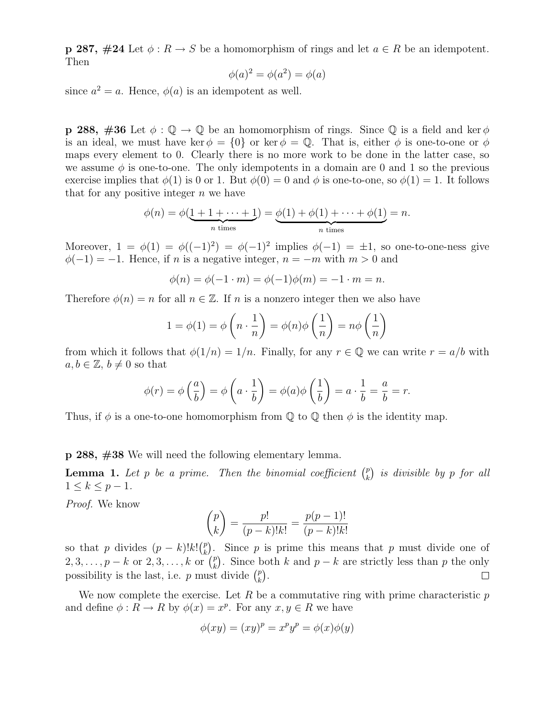**p 287, #24** Let  $\phi: R \to S$  be a homomorphism of rings and let  $a \in R$  be an idempotent. Then

$$
\phi(a)^2 = \phi(a^2) = \phi(a)
$$

since  $a^2 = a$ . Hence,  $\phi(a)$  is an idempotent as well.

**p** 288,  $\#36$  Let  $\phi : \mathbb{Q} \to \mathbb{Q}$  be an homomorphism of rings. Since  $\mathbb{Q}$  is a field and ker  $\phi$ is an ideal, we must have ker  $\phi = \{0\}$  or ker  $\phi = \mathbb{Q}$ . That is, either  $\phi$  is one-to-one or  $\phi$ maps every element to 0. Clearly there is no more work to be done in the latter case, so we assume  $\phi$  is one-to-one. The only idempotents in a domain are 0 and 1 so the previous exercise implies that  $\phi(1)$  is 0 or 1. But  $\phi(0) = 0$  and  $\phi$  is one-to-one, so  $\phi(1) = 1$ . It follows that for any positive integer  $n$  we have

$$
\phi(n) = \phi(\underbrace{1+1+\cdots+1}_{n \text{ times}}) = \underbrace{\phi(1)+\phi(1)+\cdots+\phi(1)}_{n \text{ times}} = n.
$$

Moreover,  $1 = \phi(1) = \phi((-1)^2) = \phi(-1)^2$  implies  $\phi(-1) = \pm 1$ , so one-to-one-ness give  $\phi(-1) = -1$ . Hence, if n is a negative integer,  $n = -m$  with  $m > 0$  and

$$
\phi(n) = \phi(-1 \cdot m) = \phi(-1)\phi(m) = -1 \cdot m = n.
$$

Therefore  $\phi(n) = n$  for all  $n \in \mathbb{Z}$ . If n is a nonzero integer then we also have

$$
1 = \phi(1) = \phi\left(n \cdot \frac{1}{n}\right) = \phi(n)\phi\left(\frac{1}{n}\right) = n\phi\left(\frac{1}{n}\right)
$$

from which it follows that  $\phi(1/n) = 1/n$ . Finally, for any  $r \in \mathbb{Q}$  we can write  $r = a/b$  with  $a, b \in \mathbb{Z}, b \neq 0$  so that

$$
\phi(r) = \phi\left(\frac{a}{b}\right) = \phi\left(a \cdot \frac{1}{b}\right) = \phi(a)\phi\left(\frac{1}{b}\right) = a \cdot \frac{1}{b} = \frac{a}{b} = r.
$$

Thus, if  $\phi$  is a one-to-one homomorphism from  $\mathbb Q$  to  $\mathbb Q$  then  $\phi$  is the identity map.

p 288, #38 We will need the following elementary lemma.

**Lemma 1.** Let p be a prime. Then the binomial coefficient  $\binom{p}{k}$  $\binom{p}{k}$  is divisible by p for all  $1 \leq k \leq p-1$ .

Proof. We know

$$
\binom{p}{k} = \frac{p!}{(p-k)!k!} = \frac{p(p-1)!}{(p-k)!k!}
$$

so that p divides  $(p-k)!k!\binom{p}{k}$  $\binom{p}{k}$ . Since p is prime this means that p must divide one of  $2, 3, \ldots, p-k \text{ or } 2, 3, \ldots, k \text{ or } {p \choose k}$  $\binom{p}{k}$ . Since both k and  $p - k$  are strictly less than p the only possibility is the last, i.e. p must divide  $\binom{p}{k}$  $_{k}^{p}).$  $\Box$ 

We now complete the exercise. Let R be a commutative ring with prime characteristic  $p$ and define  $\phi: R \to R$  by  $\phi(x) = x^p$ . For any  $x, y \in R$  we have

$$
\phi(xy) = (xy)^p = x^p y^p = \phi(x)\phi(y)
$$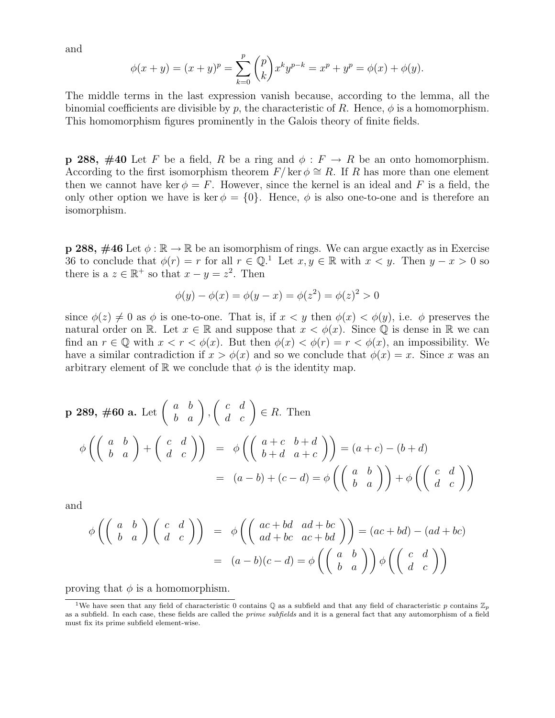and

$$
\phi(x + y) = (x + y)^p = \sum_{k=0}^p {p \choose k} x^k y^{p-k} = x^p + y^p = \phi(x) + \phi(y).
$$

The middle terms in the last expression vanish because, according to the lemma, all the binomial coefficients are divisible by p, the characteristic of R. Hence,  $\phi$  is a homomorphism. This homomorphism figures prominently in the Galois theory of finite fields.

**p 288, #40** Let F be a field, R be a ring and  $\phi : F \to R$  be an onto homomorphism. According to the first isomorphism theorem  $F/\ker \phi \cong R$ . If R has more than one element then we cannot have ker  $\phi = F$ . However, since the kernel is an ideal and F is a field, the only other option we have is ker  $\phi = \{0\}$ . Hence,  $\phi$  is also one-to-one and is therefore an isomorphism.

**p 288,**  $\#46$  Let  $\phi : \mathbb{R} \to \mathbb{R}$  be an isomorphism of rings. We can argue exactly as in Exercise 36 to conclude that  $\phi(r) = r$  for all  $r \in \mathbb{Q}$ . Let  $x, y \in \mathbb{R}$  with  $x < y$ . Then  $y - x > 0$  so there is a  $z \in \mathbb{R}^+$  so that  $x - y = z^2$ . Then

$$
\phi(y) - \phi(x) = \phi(y - x) = \phi(z^2) = \phi(z)^2 > 0
$$

since  $\phi(z) \neq 0$  as  $\phi$  is one-to-one. That is, if  $x < y$  then  $\phi(x) < \phi(y)$ , i.e.  $\phi$  preserves the natural order on R. Let  $x \in \mathbb{R}$  and suppose that  $x < \phi(x)$ . Since  $\mathbb Q$  is dense in R we can find an  $r \in \mathbb{Q}$  with  $x < r < \phi(x)$ . But then  $\phi(x) < \phi(r) = r < \phi(x)$ , an impossibility. We have a similar contradiction if  $x > \phi(x)$  and so we conclude that  $\phi(x) = x$ . Since x was an arbitrary element of  $\mathbb R$  we conclude that  $\phi$  is the identity map.

$$
\mathbf{p} \text{ 289, } \#60 \text{ a. Let } \begin{pmatrix} a & b \\ b & a \end{pmatrix}, \begin{pmatrix} c & d \\ d & c \end{pmatrix} \in R. \text{ Then}
$$

$$
\phi \left( \begin{pmatrix} a & b \\ b & a \end{pmatrix} + \begin{pmatrix} c & d \\ d & c \end{pmatrix} \right) = \phi \left( \begin{pmatrix} a+c & b+d \\ b+d & a+c \end{pmatrix} \right) = (a+c) - (b+d)
$$

$$
= (a-b) + (c-d) = \phi \left( \begin{pmatrix} a & b \\ b & a \end{pmatrix} \right) + \phi \left( \begin{pmatrix} c & d \\ d & c \end{pmatrix} \right)
$$

and

$$
\phi\left(\begin{pmatrix} a & b \\ b & a \end{pmatrix} \begin{pmatrix} c & d \\ d & c \end{pmatrix} \right) = \phi\left(\begin{pmatrix} ac+bd & ad+bc \\ ad+bc & ac+bd \end{pmatrix} \right) = (ac+bd) - (ad+bc)
$$

$$
= (a-b)(c-d) = \phi\left(\begin{pmatrix} a & b \\ b & a \end{pmatrix} \right) \phi\left(\begin{pmatrix} c & d \\ d & c \end{pmatrix} \right)
$$

proving that  $\phi$  is a homomorphism.

<sup>&</sup>lt;sup>1</sup>We have seen that any field of characteristic 0 contains  $\mathbb{Q}$  as a subfield and that any field of characteristic p contains  $\mathbb{Z}_p$ as a subfield. In each case, these fields are called the *prime subfields* and it is a general fact that any automorphism of a field must fix its prime subfield element-wise.